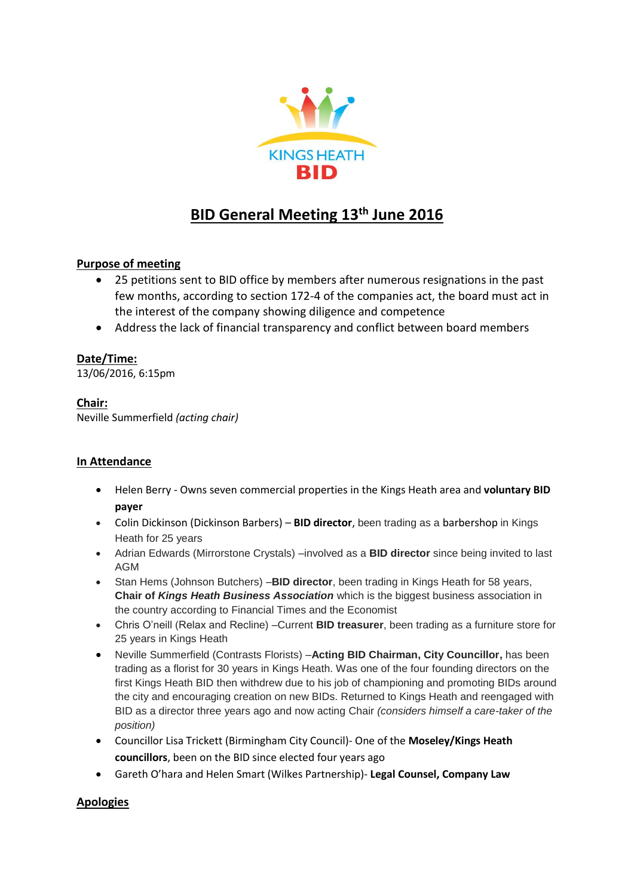

# **BID General Meeting 13 th June 2016**

# **Purpose of meeting**

- 25 petitions sent to BID office by members after numerous resignations in the past few months, according to section 172-4 of the companies act, the board must act in the interest of the company showing diligence and competence
- Address the lack of financial transparency and conflict between board members

## **Date/Time:**

13/06/2016, 6:15pm

## **Chair:**

Neville Summerfield *(acting chair)*

# **In Attendance**

- Helen Berry Owns seven commercial properties in the Kings Heath area and **voluntary BID payer**
- Colin Dickinson (Dickinson Barbers) **BID director**, been trading as a barbershop in Kings Heath for 25 years
- Adrian Edwards (Mirrorstone Crystals) –involved as a **BID director** since being invited to last AGM
- Stan Hems (Johnson Butchers) –**BID director**, been trading in Kings Heath for 58 years, **Chair of** *Kings Heath Business Association* which is the biggest business association in the country according to Financial Times and the Economist
- Chris O'neill (Relax and Recline) –Current **BID treasurer**, been trading as a furniture store for 25 years in Kings Heath
- Neville Summerfield (Contrasts Florists) –**Acting BID Chairman, City Councillor,** has been trading as a florist for 30 years in Kings Heath. Was one of the four founding directors on the first Kings Heath BID then withdrew due to his job of championing and promoting BIDs around the city and encouraging creation on new BIDs. Returned to Kings Heath and reengaged with BID as a director three years ago and now acting Chair *(considers himself a care-taker of the position)*
- Councillor Lisa Trickett (Birmingham City Council)- One of the **Moseley/Kings Heath councillors**, been on the BID since elected four years ago
- Gareth O'hara and Helen Smart (Wilkes Partnership)- **Legal Counsel, Company Law**

# **Apologies**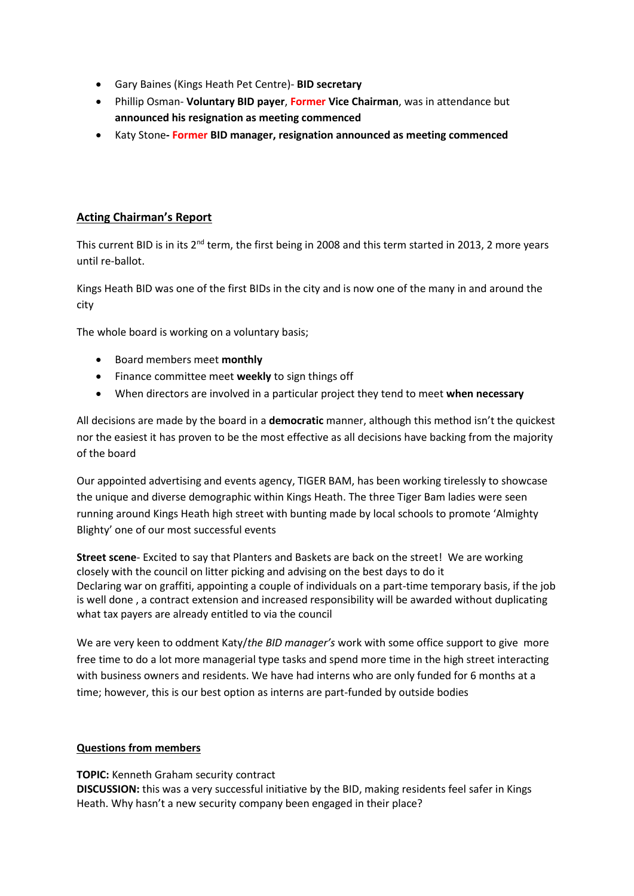- Gary Baines (Kings Heath Pet Centre)- **BID secretary**
- Phillip Osman- **Voluntary BID payer**, **Former Vice Chairman**, was in attendance but **announced his resignation as meeting commenced**
- Katy Stone**- Former BID manager, resignation announced as meeting commenced**

# **Acting Chairman's Report**

This current BID is in its 2<sup>nd</sup> term, the first being in 2008 and this term started in 2013, 2 more years until re-ballot.

Kings Heath BID was one of the first BIDs in the city and is now one of the many in and around the city

The whole board is working on a voluntary basis;

- Board members meet **monthly**
- Finance committee meet **weekly** to sign things off
- When directors are involved in a particular project they tend to meet **when necessary**

All decisions are made by the board in a **democratic** manner, although this method isn't the quickest nor the easiest it has proven to be the most effective as all decisions have backing from the majority of the board

Our appointed advertising and events agency, TIGER BAM, has been working tirelessly to showcase the unique and diverse demographic within Kings Heath. The three Tiger Bam ladies were seen running around Kings Heath high street with bunting made by local schools to promote 'Almighty Blighty' one of our most successful events

**Street scene**- Excited to say that Planters and Baskets are back on the street! We are working closely with the council on litter picking and advising on the best days to do it Declaring war on graffiti, appointing a couple of individuals on a part-time temporary basis, if the job is well done , a contract extension and increased responsibility will be awarded without duplicating what tax payers are already entitled to via the council

We are very keen to oddment Katy/*the BID manager's* work with some office support to give more free time to do a lot more managerial type tasks and spend more time in the high street interacting with business owners and residents. We have had interns who are only funded for 6 months at a time; however, this is our best option as interns are part-funded by outside bodies

#### **Questions from members**

**TOPIC:** Kenneth Graham security contract **DISCUSSION:** this was a very successful initiative by the BID, making residents feel safer in Kings Heath. Why hasn't a new security company been engaged in their place?